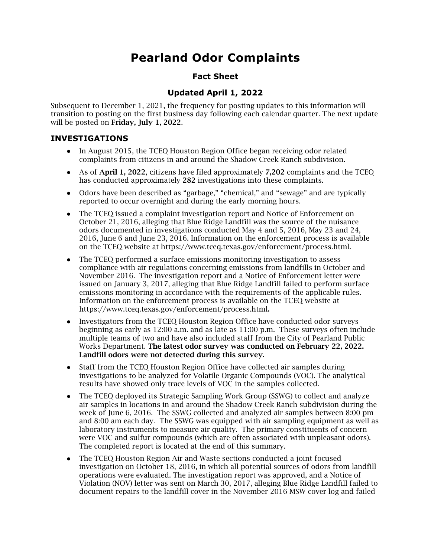# **Pearland Odor Complaints**

### **Fact Sheet**

## **Updated April 1, 2022**

 Subsequent to December 1, 2021, the frequency for posting updates to this information will transition to posting on the first business day following each calendar quarter. The next update will be posted on **Friday, July 1, 2022**.

### **INVESTIGATIONS**

- ● In August 2015, the TCEQ Houston Region Office began receiving odor related complaints from citizens in and around the Shadow Creek Ranch subdivision.
- ● As of **April 1, 2022**, citizens have filed approximately **7,202** complaints and the TCEQ has conducted approximately **282** investigations into these complaints.
- ● Odors have been described as "garbage," "chemical," and "sewage" and are typically reported to occur overnight and during the early morning hours.
- ● The TCEQ issued a complaint investigation report and Notice of Enforcement on October 21, 2016, alleging that Blue Ridge Landfill was the source of the nuisance odors documented in investigations conducted May 4 and 5, 2016, May 23 and 24, 2016, June 6 and June 23, 2016. Information on the enforcement process is available on the TCEQ website at [https://www.tceq.texas.gov/enforcement/process.html.](https://www.tceq.texas.gov/enforcement/process.html)
- ● The TCEQ performed a surface emissions monitoring investigation to assess compliance with air regulations concerning emissions from landfills in October and November 2016. The investigation report and a Notice of Enforcement letter were issued on January 3, 2017, alleging that Blue Ridge Landfill failed to perform surface emissions monitoring in accordance with the requirements of the applicable rules. Information on the enforcement process is available on the TCEQ website at <https://www.tceq.texas.gov/enforcement/process.html>**.**
- ● Investigators from the TCEQ Houston Region Office have conducted odor surveys beginning as early as 12:00 a.m. and as late as 11:00 p.m. These surveys often include multiple teams of two and have also included staff from the City of Pearland Public  Works Department. **The latest odor survey was conducted on February 22, 2022. Landfill odors were not detected during this survey.**
- ● Staff from the TCEQ Houston Region Office have collected air samples during investigations to be analyzed for Volatile Organic Compounds (VOC). The analytical results have showed only trace levels of VOC in the samples collected.
- ● The TCEQ deployed its Strategic Sampling Work Group (SSWG) to collect and analyze air samples in locations in and around the Shadow Creek Ranch subdivision during the week of June 6, 2016. The SSWG collected and analyzed air samples between 8:00 pm and 8:00 am each day. The SSWG was equipped with air sampling equipment as well as laboratory instruments to measure air quality. The primary constituents of concern were VOC and sulfur compounds (which are often associated with unpleasant odors). The completed report is located at the end of this summary.
- ● The TCEQ Houston Region Air and Waste sections conducted a joint focused investigation on October 18, 2016, in which all potential sources of odors from landfill operations were evaluated. The investigation report was approved, and a Notice of Violation (NOV) letter was sent on March 30, 2017, alleging Blue Ridge Landfill failed to document repairs to the landfill cover in the November 2016 MSW cover log and failed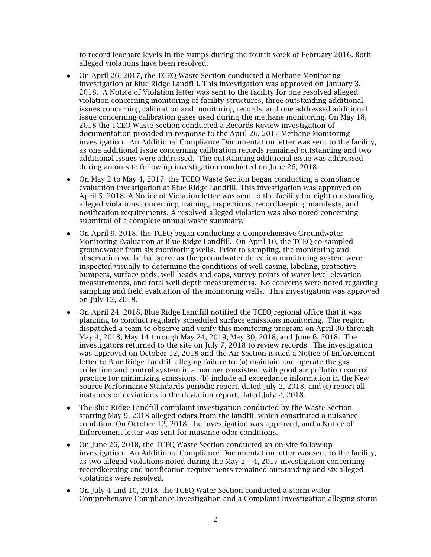to record leachate levels in the sumps during the fourth week of February 2016. Both alleged violations have been resolved.

- ● On April 26, 2017, the TCEQ Waste Section conducted a Methane Monitoring investigation at Blue Ridge Landfill. This investigation was approved on January 3, 2018. A Notice of Violation letter was sent to the facility for one resolved alleged violation concerning monitoring of facility structures, three outstanding additional issues concerning calibration and monitoring records, and one addressed additional issue concerning calibration gases used during the methane monitoring. On May 18, 2018 the TCEQ Waste Section conducted a Records Review investigation of documentation provided in response to the April 26, 2017 Methane Monitoring investigation. An Additional Compliance Documentation letter was sent to the facility, as one additional issue concerning calibration records remained outstanding and two additional issues were addressed. The outstanding additional issue was addressed during an on-site follow-up investigation conducted on June 26, 2018.
- ● On May 2 to May 4, 2017, the TCEQ Waste Section began conducting a compliance evaluation investigation at Blue Ridge Landfill. This investigation was approved on April 5, 2018. A Notice of Violation letter was sent to the facility for eight outstanding alleged violations concerning training, inspections, recordkeeping, manifests, and notification requirements. A resolved alleged violation was also noted concerning submittal of a complete annual waste summary.
- ● On April 9, 2018, the TCEQ began conducting a Comprehensive Groundwater Monitoring Evaluation at Blue Ridge Landfill. On April 10, the TCEQ co-sampled groundwater from six monitoring wells. Prior to sampling, the monitoring and observation wells that serve as the groundwater detection monitoring system were inspected visually to determine the conditions of well casing, labeling, protective bumpers, surface pads, well heads and caps, survey points of water level elevation measurements, and total well depth measurements. No concerns were noted regarding sampling and field evaluation of the monitoring wells. This investigation was approved on July 12, 2018.
- ● On April 24, 2018, Blue Ridge Landfill notified the TCEQ regional office that it was planning to conduct regularly scheduled surface emissions monitoring. The region dispatched a team to observe and verify this monitoring program on April 30 through May 4, 2018; May 14 through May 24, 2019; May 30, 2018; and June 6, 2018. The investigators returned to the site on July 7, 2018 to review records. The investigation was approved on October 12, 2018 and the Air Section issued a Notice of Enforcement letter to Blue Ridge Landfill alleging failure to: (a) maintain and operate the gas collection and control system in a manner consistent with good air pollution control practice for minimizing emissions, (b) include all exceedance information in the New Source Performance Standards periodic report, dated July 2, 2018, and (c) report all instances of deviations in the deviation report, dated July 2, 2018.
- ● The Blue Ridge Landfill complaint investigation conducted by the Waste Section starting May 9, 2018 alleged odors from the landfill which constituted a nuisance condition. On October 12, 2018, the investigation was approved, and a Notice of Enforcement letter was sent for nuisance odor conditions.
- ● On June 26, 2018, the TCEQ Waste Section conducted an on-site follow-up investigation. An Additional Compliance Documentation letter was sent to the facility, as two alleged violations noted during the May 2 – 4, 2017 investigation concerning recordkeeping and notification requirements remained outstanding and six alleged violations were resolved.
- ● On July 4 and 10, 2018, the TCEQ Water Section conducted a storm water Comprehensive Compliance Investigation and a Complaint Investigation alleging storm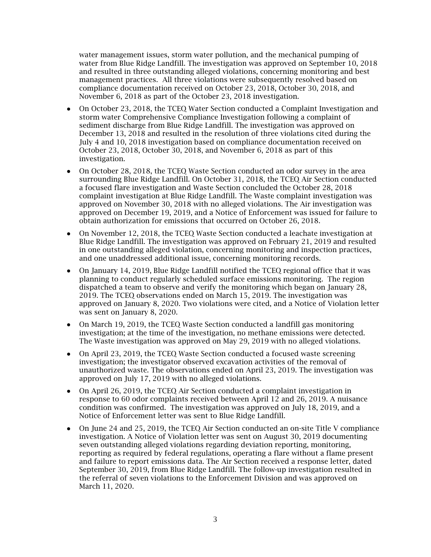water management issues, storm water pollution, and the mechanical pumping of water from Blue Ridge Landfill. The investigation was approved on September 10, 2018 and resulted in three outstanding alleged violations, concerning monitoring and best management practices. All three violations were subsequently resolved based on compliance documentation received on October 23, 2018, October 30, 2018, and November 6, 2018 as part of the October 23, 2018 investigation.

- ● On October 23, 2018, the TCEQ Water Section conducted a Complaint Investigation and storm water Comprehensive Compliance Investigation following a complaint of sediment discharge from Blue Ridge Landfill. The investigation was approved on December 13, 2018 and resulted in the resolution of three violations cited during the July 4 and 10, 2018 investigation based on compliance documentation received on October 23, 2018, October 30, 2018, and November 6, 2018 as part of this investigation.
- ● On October 28, 2018, the TCEQ Waste Section conducted an odor survey in the area surrounding Blue Ridge Landfill. On October 31, 2018, the TCEQ Air Section conducted a focused flare investigation and Waste Section concluded the October 28, 2018 complaint investigation at Blue Ridge Landfill. The Waste complaint investigation was approved on November 30, 2018 with no alleged violations. The Air investigation was approved on December 19, 2019, and a Notice of Enforcement was issued for failure to obtain authorization for emissions that occurred on October 26, 2018.
- ● On November 12, 2018, the TCEQ Waste Section conducted a leachate investigation at Blue Ridge Landfill. The investigation was approved on February 21, 2019 and resulted in one outstanding alleged violation, concerning monitoring and inspection practices, and one unaddressed additional issue, concerning monitoring records.
- ● On January 14, 2019, Blue Ridge Landfill notified the TCEQ regional office that it was planning to conduct regularly scheduled surface emissions monitoring. The region dispatched a team to observe and verify the monitoring which began on January 28, 2019. The TCEQ observations ended on March 15, 2019. The investigation was approved on January 8, 2020. Two violations were cited, and a Notice of Violation letter was sent on January 8, 2020.
- ● On March 19, 2019, the TCEQ Waste Section conducted a landfill gas monitoring investigation; at the time of the investigation, no methane emissions were detected. The Waste investigation was approved on May 29, 2019 with no alleged violations.
- ● On April 23, 2019, the TCEQ Waste Section conducted a focused waste screening investigation; the investigator observed excavation activities of the removal of unauthorized waste. The observations ended on April 23, 2019. The investigation was approved on July 17, 2019 with no alleged violations.
- ● On April 26, 2019, the TCEQ Air Section conducted a complaint investigation in response to 60 odor complaints received between April 12 and 26, 2019. A nuisance condition was confirmed. The investigation was approved on July 18, 2019, and a Notice of Enforcement letter was sent to Blue Ridge Landfill.
- ● On June 24 and 25, 2019, the TCEQ Air Section conducted an on-site Title V compliance investigation. A Notice of Violation letter was sent on August 30, 2019 documenting seven outstanding alleged violations regarding deviation reporting, monitoring, reporting as required by federal regulations, operating a flare without a flame present and failure to report emissions data. The Air Section received a response letter, dated September 30, 2019, from Blue Ridge Landfill. The follow-up investigation resulted in the referral of seven violations to the Enforcement Division and was approved on March 11, 2020.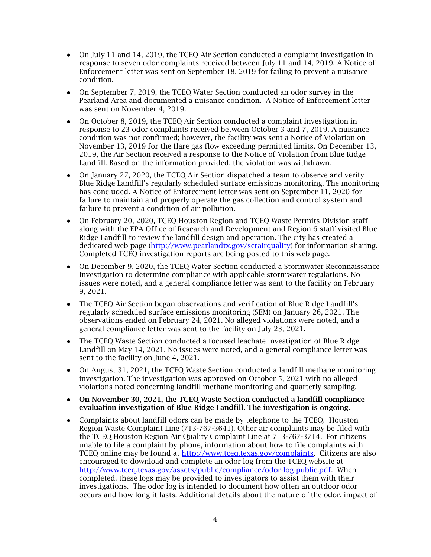- ● On July 11 and 14, 2019, the TCEQ Air Section conducted a complaint investigation in response to seven odor complaints received between July 11 and 14, 2019. A Notice of Enforcement letter was sent on September 18, 2019 for failing to prevent a nuisance condition.
- On September 7, 2019, the TCEQ Water Section conducted an odor survey in the Pearland Area and documented a nuisance condition. A Notice of Enforcement letter was sent on November 4, 2019.
- ● On October 8, 2019, the TCEQ Air Section conducted a complaint investigation in response to 23 odor complaints received between October 3 and 7, 2019. A nuisance condition was not confirmed; however, the facility was sent a Notice of Violation on November 13, 2019 for the flare gas flow exceeding permitted limits. On December 13, 2019, the Air Section received a response to the Notice of Violation from Blue Ridge Landfill. Based on the information provided, the violation was withdrawn.
- On January 27, 2020, the TCEQ Air Section dispatched a team to observe and verify Blue Ridge Landfill's regularly scheduled surface emissions monitoring. The monitoring has concluded. A Notice of Enforcement letter was sent on September 11, 2020 for failure to maintain and properly operate the gas collection and control system and failure to prevent a condition of air pollution.
- On February 20, 2020, TCEQ Houston Region and TCEQ Waste Permits Division staff along with the EPA Office of Research and Development and Region 6 staff visited Blue Ridge Landfill to review the landfill design and operation. The city has created a dedicated web page [\(http://www.pearlandtx.gov/scrairquality\)](http://www.pearlandtx.gov/scrairquality) for information sharing. Completed TCEQ investigation reports are being posted to this web page.
- ● On December 9, 2020, the TCEQ Water Section conducted a Stormwater Reconnaissance Investigation to determine compliance with applicable stormwater regulations. No issues were noted, and a general compliance letter was sent to the facility on February 9, 2021.
- ● The TCEQ Air Section began observations and verification of Blue Ridge Landfill's regularly scheduled surface emissions monitoring (SEM) on January 26, 2021. The observations ended on February 24, 2021. No alleged violations were noted, and a general compliance letter was sent to the facility on July 23, 2021.
- ● The TCEQ Waste Section conducted a focused leachate investigation of Blue Ridge Landfill on May 14, 2021. No issues were noted, and a general compliance letter was sent to the facility on June 4, 2021.
- ● On August 31, 2021, the TCEQ Waste Section conducted a landfill methane monitoring investigation. The investigation was approved on October 5, 2021 with no alleged violations noted concerning landfill methane monitoring and quarterly sampling.
- **On November 30, 2021, the TCEQ Waste Section conducted a landfill compliance evaluation investigation of Blue Ridge Landfill. The investigation is ongoing.**
- ● Complaints about landfill odors can be made by telephone to the TCEQ. Houston Region Waste Complaint Line (713-767-3641). Other air complaints may be filed with the TCEQ Houston Region Air Quality Complaint Line at 713-767-3714. For citizens unable to file a complaint by phone, information about how to file complaints with TCEQ online may be found at <u>http://www.tceq.texas.gov/complaints</u>. Citizens are also encouraged to download and complete an odor log from the TCEQ website at <http://www.tceq.texas.gov/assets/public/compliance/odor-log-public.pdf>. When completed, these logs may be provided to investigators to assist them with their investigations. The odor log is intended to document how often an outdoor odor occurs and how long it lasts. Additional details about the nature of the odor, impact of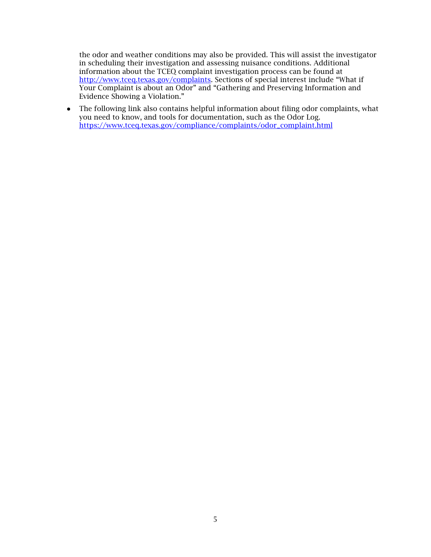the odor and weather conditions may also be provided. This will assist the investigator in scheduling their investigation and assessing nuisance conditions. Additional information about the TCEQ complaint investigation process can be found at [http://www.tceq.texas.gov/complaints.](http://www.tceq.texas.gov/complaints) Sections of special interest include "What if Your Complaint is about an Odor" and "Gathering and Preserving Information and Evidence Showing a Violation."

 ● The following link also contains helpful information about filing odor complaints, what you need to know, and tools for documentation, such as the Odor Log. [https://www.tceq.texas.gov/compliance/complaints/odor\\_complaint.html](https://www.tceq.texas.gov/compliance/complaints/odor_complaint.html)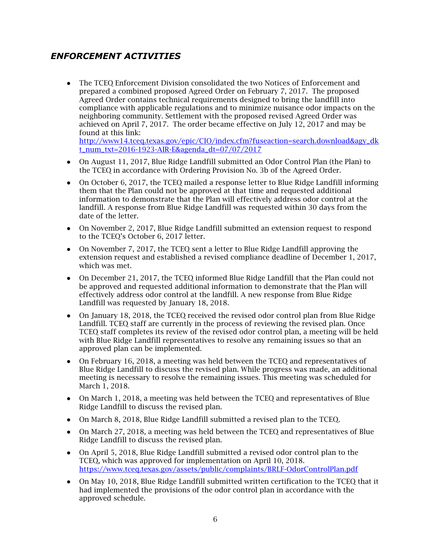## *ENFORCEMENT ACTIVITIES*

 ● The TCEQ Enforcement Division consolidated the two Notices of Enforcement and prepared a combined proposed Agreed Order on February 7, 2017. The proposed Agreed Order contains technical requirements designed to bring the landfill into compliance with applicable regulations and to minimize nuisance odor impacts on the neighboring community. Settlement with the proposed revised Agreed Order was achieved on April 7, 2017. The order became effective on July 12, 2017 and may be found at this link:

[http://www14.tceq.texas.gov/epic/CIO/index.cfm?fuseaction=search.download&agy\\_dk](http://www14.tceq.texas.gov/epic/CIO/index.cfm?fuseaction=search.download&agy_dk) t\_num\_txt=2016-1923-AIR-E&agenda\_dt=07/07/2017

- ● On August 11, 2017, Blue Ridge Landfill submitted an Odor Control Plan (the Plan) to the TCEQ in accordance with Ordering Provision No. 3b of the Agreed Order.
- ● On October 6, 2017, the TCEQ mailed a response letter to Blue Ridge Landfill informing them that the Plan could not be approved at that time and requested additional information to demonstrate that the Plan will effectively address odor control at the landfill. A response from Blue Ridge Landfill was requested within 30 days from the date of the letter.
- ● On November 2, 2017, Blue Ridge Landfill submitted an extension request to respond to the TCEQ's October 6, 2017 letter.
- ● On November 7, 2017, the TCEQ sent a letter to Blue Ridge Landfill approving the extension request and established a revised compliance deadline of December 1, 2017, which was met.
- ● On December 21, 2017, the TCEQ informed Blue Ridge Landfill that the Plan could not be approved and requested additional information to demonstrate that the Plan will effectively address odor control at the landfill. A new response from Blue Ridge Landfill was requested by January 18, 2018.
- ● On January 18, 2018, the TCEQ received the revised odor control plan from Blue Ridge Landfill. TCEQ staff are currently in the process of reviewing the revised plan. Once TCEQ staff completes its review of the revised odor control plan, a meeting will be held with Blue Ridge Landfill representatives to resolve any remaining issues so that an approved plan can be implemented.
- ● On February 16, 2018, a meeting was held between the TCEQ and representatives of Blue Ridge Landfill to discuss the revised plan. While progress was made, an additional meeting is necessary to resolve the remaining issues. This meeting was scheduled for March 1, 2018.
- ● On March 1, 2018, a meeting was held between the TCEQ and representatives of Blue Ridge Landfill to discuss the revised plan.
- On March 8, 2018, Blue Ridge Landfill submitted a revised plan to the TCEQ.
- ● On March 27, 2018, a meeting was held between the TCEQ and representatives of Blue Ridge Landfill to discuss the revised plan.
- ● On April 5, 2018, Blue Ridge Landfill submitted a revised odor control plan to the TCEQ, which was approved for implementation on April 10, 2018. <https://www.tceq.texas.gov/assets/public/complaints/BRLF-OdorControlPlan.pdf>
- ● On May 10, 2018, Blue Ridge Landfill submitted written certification to the TCEQ that it had implemented the provisions of the odor control plan in accordance with the approved schedule.